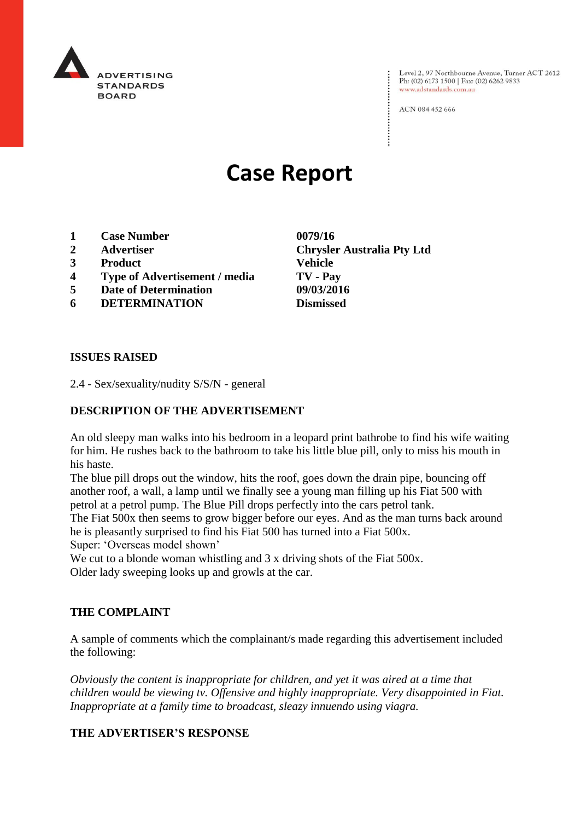

Level 2, 97 Northbourne Avenue, Turner ACT 2612<br>Ph: (02) 6173 1500 | Fax: (02) 6262 9833 www.adstandards.com.au

ACN 084 452 666

# **Case Report**

- **1 Case Number 0079/16**
- **2 Advertiser Chrysler Australia Pty Ltd**
- **3 Product Vehicle**
- **4 Type of Advertisement / media TV - Pay**
- **5 Date of Determination 09/03/2016**
- **6 DETERMINATION Dismissed**

**ISSUES RAISED**

2.4 - Sex/sexuality/nudity S/S/N - general

### **DESCRIPTION OF THE ADVERTISEMENT**

An old sleepy man walks into his bedroom in a leopard print bathrobe to find his wife waiting for him. He rushes back to the bathroom to take his little blue pill, only to miss his mouth in his haste.

The blue pill drops out the window, hits the roof, goes down the drain pipe, bouncing off another roof, a wall, a lamp until we finally see a young man filling up his Fiat 500 with petrol at a petrol pump. The Blue Pill drops perfectly into the cars petrol tank.

The Fiat 500x then seems to grow bigger before our eyes. And as the man turns back around he is pleasantly surprised to find his Fiat 500 has turned into a Fiat 500x.

Super: 'Overseas model shown'

We cut to a blonde woman whistling and 3 x driving shots of the Fiat 500x. Older lady sweeping looks up and growls at the car.

#### **THE COMPLAINT**

A sample of comments which the complainant/s made regarding this advertisement included the following:

*Obviously the content is inappropriate for children, and yet it was aired at a time that children would be viewing tv. Offensive and highly inappropriate. Very disappointed in Fiat. Inappropriate at a family time to broadcast, sleazy innuendo using viagra.*

#### **THE ADVERTISER'S RESPONSE**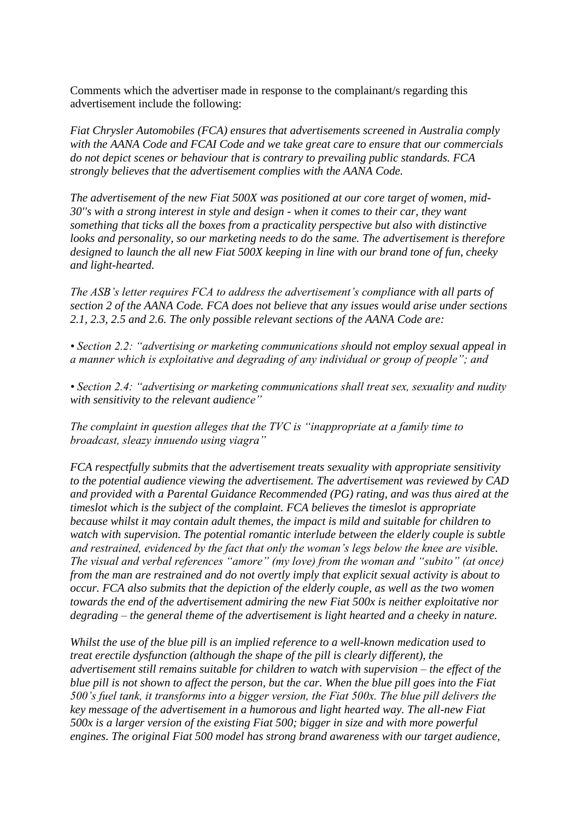Comments which the advertiser made in response to the complainant/s regarding this advertisement include the following:

*Fiat Chrysler Automobiles (FCA) ensures that advertisements screened in Australia comply with the AANA Code and FCAI Code and we take great care to ensure that our commercials do not depict scenes or behaviour that is contrary to prevailing public standards. FCA strongly believes that the advertisement complies with the AANA Code.*

*The advertisement of the new Fiat 500X was positioned at our core target of women, mid-30''s with a strong interest in style and design - when it comes to their car, they want something that ticks all the boxes from a practicality perspective but also with distinctive looks and personality, so our marketing needs to do the same. The advertisement is therefore designed to launch the all new Fiat 500X keeping in line with our brand tone of fun, cheeky and light-hearted.*

*The ASB's letter requires FCA to address the advertisement's compliance with all parts of section 2 of the AANA Code. FCA does not believe that any issues would arise under sections 2.1, 2.3, 2.5 and 2.6. The only possible relevant sections of the AANA Code are:*

*• Section 2.2: "advertising or marketing communications should not employ sexual appeal in a manner which is exploitative and degrading of any individual or group of people"; and*

*• Section 2.4: "advertising or marketing communications shall treat sex, sexuality and nudity with sensitivity to the relevant audience"*

*The complaint in question alleges that the TVC is "inappropriate at a family time to broadcast, sleazy innuendo using viagra"*

*FCA respectfully submits that the advertisement treats sexuality with appropriate sensitivity to the potential audience viewing the advertisement. The advertisement was reviewed by CAD and provided with a Parental Guidance Recommended (PG) rating, and was thus aired at the timeslot which is the subject of the complaint. FCA believes the timeslot is appropriate because whilst it may contain adult themes, the impact is mild and suitable for children to watch with supervision. The potential romantic interlude between the elderly couple is subtle and restrained, evidenced by the fact that only the woman's legs below the knee are visible. The visual and verbal references "amore" (my love) from the woman and "subito" (at once) from the man are restrained and do not overtly imply that explicit sexual activity is about to occur. FCA also submits that the depiction of the elderly couple, as well as the two women towards the end of the advertisement admiring the new Fiat 500x is neither exploitative nor degrading – the general theme of the advertisement is light hearted and a cheeky in nature.*

*Whilst the use of the blue pill is an implied reference to a well-known medication used to treat erectile dysfunction (although the shape of the pill is clearly different), the advertisement still remains suitable for children to watch with supervision – the effect of the blue pill is not shown to affect the person, but the car. When the blue pill goes into the Fiat 500's fuel tank, it transforms into a bigger version, the Fiat 500x. The blue pill delivers the key message of the advertisement in a humorous and light hearted way. The all-new Fiat 500x is a larger version of the existing Fiat 500; bigger in size and with more powerful engines. The original Fiat 500 model has strong brand awareness with our target audience,*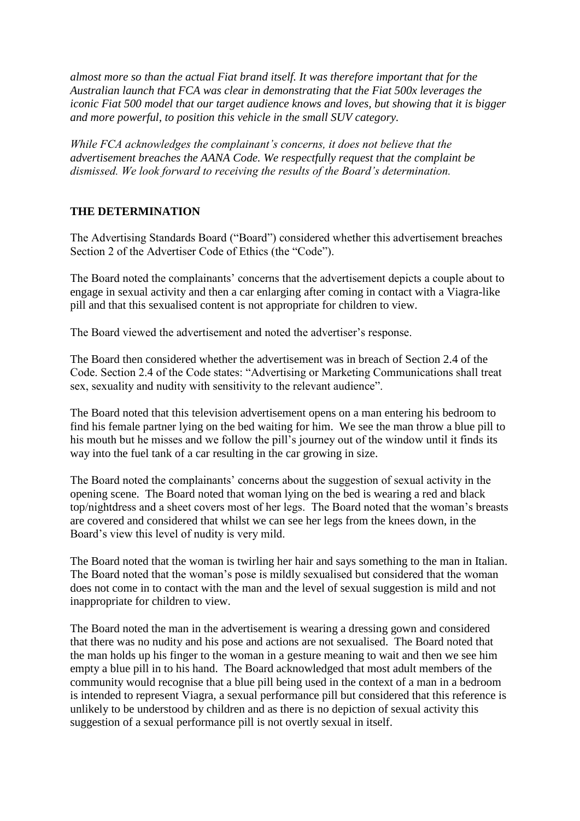*almost more so than the actual Fiat brand itself. It was therefore important that for the Australian launch that FCA was clear in demonstrating that the Fiat 500x leverages the iconic Fiat 500 model that our target audience knows and loves, but showing that it is bigger and more powerful, to position this vehicle in the small SUV category.*

*While FCA acknowledges the complainant's concerns, it does not believe that the advertisement breaches the AANA Code. We respectfully request that the complaint be dismissed. We look forward to receiving the results of the Board's determination.*

## **THE DETERMINATION**

The Advertising Standards Board ("Board") considered whether this advertisement breaches Section 2 of the Advertiser Code of Ethics (the "Code").

The Board noted the complainants' concerns that the advertisement depicts a couple about to engage in sexual activity and then a car enlarging after coming in contact with a Viagra-like pill and that this sexualised content is not appropriate for children to view.

The Board viewed the advertisement and noted the advertiser's response.

The Board then considered whether the advertisement was in breach of Section 2.4 of the Code. Section 2.4 of the Code states: "Advertising or Marketing Communications shall treat sex, sexuality and nudity with sensitivity to the relevant audience".

The Board noted that this television advertisement opens on a man entering his bedroom to find his female partner lying on the bed waiting for him. We see the man throw a blue pill to his mouth but he misses and we follow the pill's journey out of the window until it finds its way into the fuel tank of a car resulting in the car growing in size.

The Board noted the complainants' concerns about the suggestion of sexual activity in the opening scene. The Board noted that woman lying on the bed is wearing a red and black top/nightdress and a sheet covers most of her legs. The Board noted that the woman's breasts are covered and considered that whilst we can see her legs from the knees down, in the Board's view this level of nudity is very mild.

The Board noted that the woman is twirling her hair and says something to the man in Italian. The Board noted that the woman's pose is mildly sexualised but considered that the woman does not come in to contact with the man and the level of sexual suggestion is mild and not inappropriate for children to view.

The Board noted the man in the advertisement is wearing a dressing gown and considered that there was no nudity and his pose and actions are not sexualised. The Board noted that the man holds up his finger to the woman in a gesture meaning to wait and then we see him empty a blue pill in to his hand. The Board acknowledged that most adult members of the community would recognise that a blue pill being used in the context of a man in a bedroom is intended to represent Viagra, a sexual performance pill but considered that this reference is unlikely to be understood by children and as there is no depiction of sexual activity this suggestion of a sexual performance pill is not overtly sexual in itself.